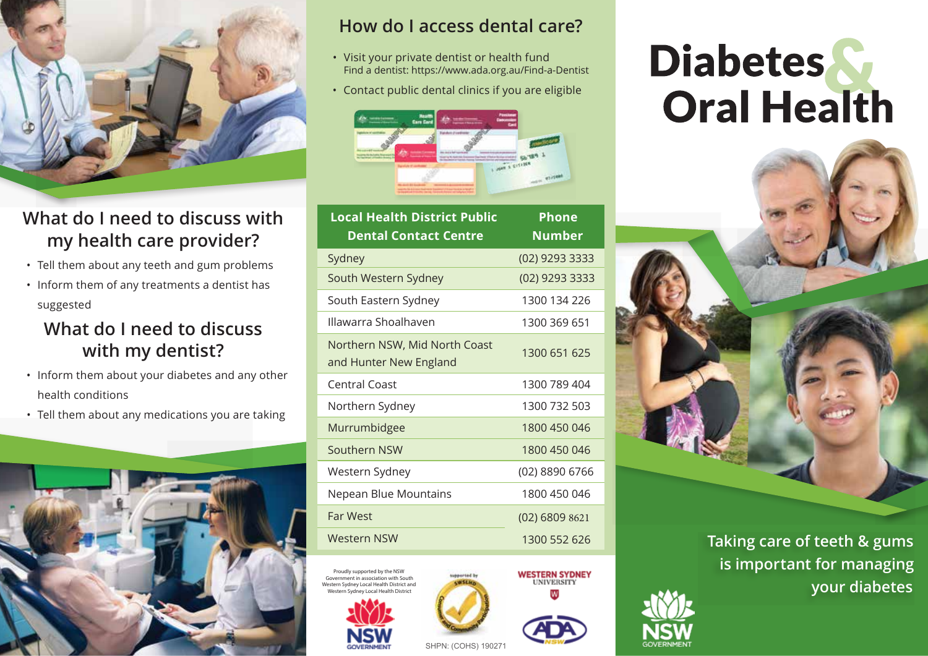

## **What do I need to discuss with my health care provider?**

- Tell them about any teeth and gum problems
- Inform them of any treatments a dentist has suggested

#### **What do I need to discuss with my dentist?**

- Inform them about your diabetes and any other health conditions
- Tell them about any medications you are taking



#### **How do I access dental care?**

- Visit your private dentist or health fund Find a dentist: https://www.ada.org.au/Find-a-Dentist
- Contact public dental clinics if you are eligible



| <b>Local Health District Public</b>                     | Phone            |
|---------------------------------------------------------|------------------|
| <b>Dental Contact Centre</b>                            | <b>Number</b>    |
| Sydney                                                  | (02) 9293 3333   |
| South Western Sydney                                    | (02) 9293 3333   |
| South Eastern Sydney                                    | 1300 134 226     |
| Illawarra Shoalhaven                                    | 1300 369 651     |
| Northern NSW, Mid North Coast<br>and Hunter New England | 1300 651 625     |
| <b>Central Coast</b>                                    | 1300 789 404     |
| Northern Sydney                                         | 1300 732 503     |
| Murrumbidgee                                            | 1800 450 046     |
| Southern NSW                                            | 1800 450 046     |
| Western Sydney                                          | (02) 8890 6766   |
| Nepean Blue Mountains                                   | 1800 450 046     |
| <b>Far West</b>                                         | $(02)$ 6809 8621 |
| <b>Western NSW</b>                                      | 1300 552 626     |
|                                                         |                  |

Proudly supported by the NSW ment in association with South Western Sydney Local Health District and Local Health District





SHPN: (COHS) 190271

# **Diabetes Oral Health**



 **Taking care of teeth & gums is important for managing your diabetes**